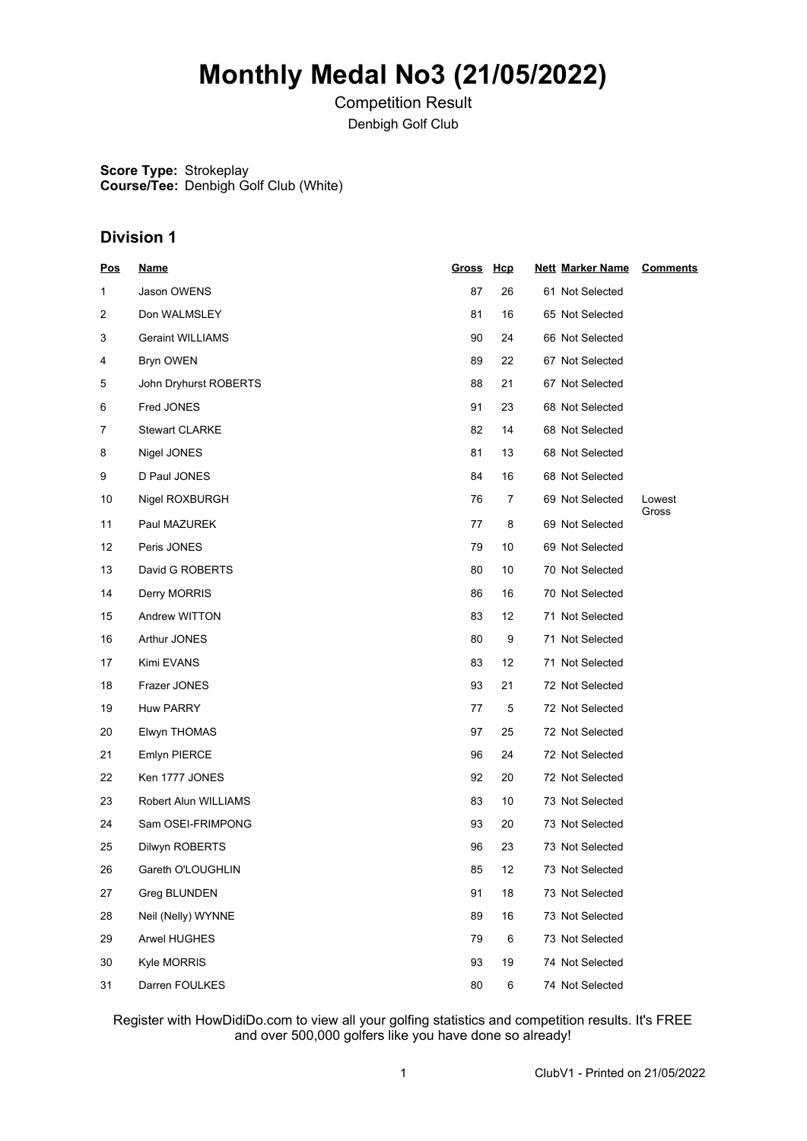# **Monthly Medal No3 (21/05/2022)**

Competition Result Denbigh Golf Club

**Score Type:** Strokeplay **Course/Tee:** Denbigh Golf Club (White)

### **Division 1**

| <b>Pos</b> | <u>Name</u>             | Gross Hcp |    | <b>Nett Marker Name</b> | <b>Comments</b> |
|------------|-------------------------|-----------|----|-------------------------|-----------------|
| 1          | Jason OWENS             | 87        | 26 | 61 Not Selected         |                 |
| 2          | Don WALMSLEY            | 81        | 16 | 65 Not Selected         |                 |
| 3          | <b>Geraint WILLIAMS</b> | 90        | 24 | 66 Not Selected         |                 |
| 4          | Bryn OWEN               | 89        | 22 | 67 Not Selected         |                 |
| 5          | John Dryhurst ROBERTS   | 88        | 21 | 67 Not Selected         |                 |
| 6          | Fred JONES              | 91        | 23 | 68 Not Selected         |                 |
| 7          | <b>Stewart CLARKE</b>   | 82        | 14 | 68 Not Selected         |                 |
| 8          | Nigel JONES             | 81        | 13 | 68 Not Selected         |                 |
| 9          | D Paul JONES            | 84        | 16 | 68 Not Selected         |                 |
| 10         | Nigel ROXBURGH          | 76        | 7  | 69 Not Selected         | Lowest          |
| 11         | Paul MAZUREK            | 77        | 8  | 69 Not Selected         | Gross           |
| 12         | Peris JONES             | 79        | 10 | 69 Not Selected         |                 |
| 13         | David G ROBERTS         | 80        | 10 | 70 Not Selected         |                 |
| 14         | Derry MORRIS            | 86        | 16 | 70 Not Selected         |                 |
| 15         | Andrew WITTON           | 83        | 12 | 71 Not Selected         |                 |
| 16         | Arthur JONES            | 80        | 9  | 71 Not Selected         |                 |
| 17         | Kimi EVANS              | 83        | 12 | 71 Not Selected         |                 |
| 18         | Frazer JONES            | 93        | 21 | 72 Not Selected         |                 |
| 19         | <b>Huw PARRY</b>        | 77        | 5  | 72 Not Selected         |                 |
| 20         | Elwyn THOMAS            | 97        | 25 | 72 Not Selected         |                 |
| 21         | Emlyn PIERCE            | 96        | 24 | 72 Not Selected         |                 |
| 22         | Ken 1777 JONES          | 92        | 20 | 72 Not Selected         |                 |
| 23         | Robert Alun WILLIAMS    | 83        | 10 | 73 Not Selected         |                 |
| 24         | Sam OSEI-FRIMPONG       | 93        | 20 | 73 Not Selected         |                 |
| 25         | Dilwyn ROBERTS          | 96        | 23 | 73 Not Selected         |                 |
| 26         | Gareth O'LOUGHLIN       | 85        | 12 | 73 Not Selected         |                 |
| 27         | Greg BLUNDEN            | 91        | 18 | 73 Not Selected         |                 |
| 28         | Neil (Nelly) WYNNE      | 89        | 16 | 73 Not Selected         |                 |
| 29         | Arwel HUGHES            | 79        | 6  | 73 Not Selected         |                 |
| 30         | Kyle MORRIS             | 93        | 19 | 74 Not Selected         |                 |
| 31         | Darren FOULKES          | 80        | 6  | 74 Not Selected         |                 |

Register with HowDidiDo.com to view all your golfing statistics and competition results. It's FREE and over 500,000 golfers like you have done so already!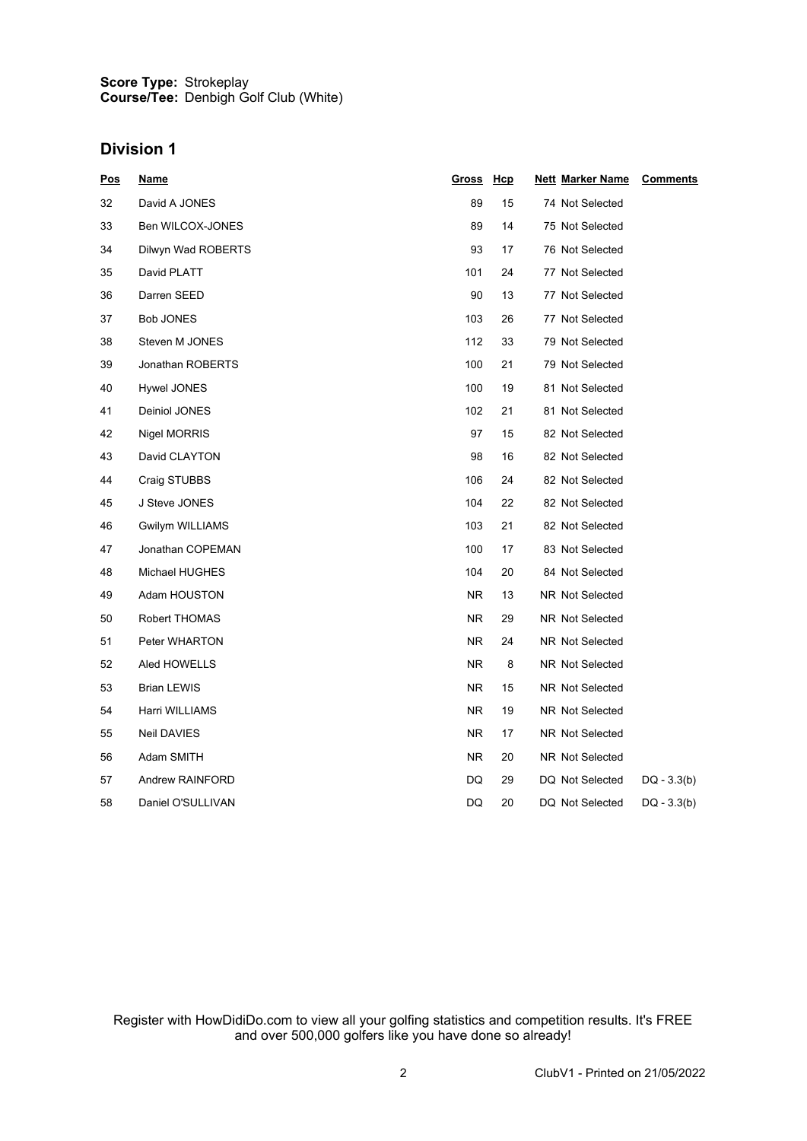#### **Score Type: Course/Tee:** Strokeplay Denbigh Golf Club (White)

### **Division 1**

| <b>Pos</b> | <u>Name</u>        | <u>Gross</u>   | <u>Hcp</u> | <b>Nett Marker Name</b> | <b>Comments</b> |
|------------|--------------------|----------------|------------|-------------------------|-----------------|
| 32         | David A JONES      | 89             | 15         | 74 Not Selected         |                 |
| 33         | Ben WILCOX-JONES   | 89             | 14         | 75 Not Selected         |                 |
| 34         | Dilwyn Wad ROBERTS | 93             | 17         | 76 Not Selected         |                 |
| 35         | David PLATT        | 101            | 24         | 77 Not Selected         |                 |
| 36         | Darren SEED        | 90             | 13         | 77 Not Selected         |                 |
| 37         | <b>Bob JONES</b>   | 103            | 26         | 77 Not Selected         |                 |
| 38         | Steven M JONES     | 112            | 33         | 79 Not Selected         |                 |
| 39         | Jonathan ROBERTS   | 100            | 21         | 79 Not Selected         |                 |
| 40         | Hywel JONES        | 100            | 19         | 81 Not Selected         |                 |
| 41         | Deiniol JONES      | 102            | 21         | 81 Not Selected         |                 |
| 42         | Nigel MORRIS       | 97             | 15         | 82 Not Selected         |                 |
| 43         | David CLAYTON      | 98             | 16         | 82 Not Selected         |                 |
| 44         | Craig STUBBS       | 106            | 24         | 82 Not Selected         |                 |
| 45         | J Steve JONES      | 104            | 22         | 82 Not Selected         |                 |
| 46         | Gwilym WILLIAMS    | 103            | 21         | 82 Not Selected         |                 |
| 47         | Jonathan COPEMAN   | 100            | 17         | 83 Not Selected         |                 |
| 48         | Michael HUGHES     | 104            | 20         | 84 Not Selected         |                 |
| 49         | Adam HOUSTON       | <b>NR</b>      | 13         | NR Not Selected         |                 |
| 50         | Robert THOMAS      | NR.            | 29         | NR Not Selected         |                 |
| 51         | Peter WHARTON      | NR.            | 24         | NR Not Selected         |                 |
| 52         | Aled HOWELLS       | NR.            | 8          | NR Not Selected         |                 |
| 53         | Brian LEWIS        | N <sub>R</sub> | 15         | NR Not Selected         |                 |
| 54         | Harri WILLIAMS     | NR.            | 19         | NR Not Selected         |                 |
| 55         | Neil DAVIES        | NR.            | 17         | NR Not Selected         |                 |
| 56         | Adam SMITH         | <b>NR</b>      | 20         | NR Not Selected         |                 |
| 57         | Andrew RAINFORD    | DQ             | 29         | DQ Not Selected         | $DQ - 3.3(b)$   |
| 58         | Daniel O'SULLIVAN  | DQ             | 20         | DQ Not Selected         | $DQ - 3.3(b)$   |

Register with HowDidiDo.com to view all your golfing statistics and competition results. It's FREE and over 500,000 golfers like you have done so already!